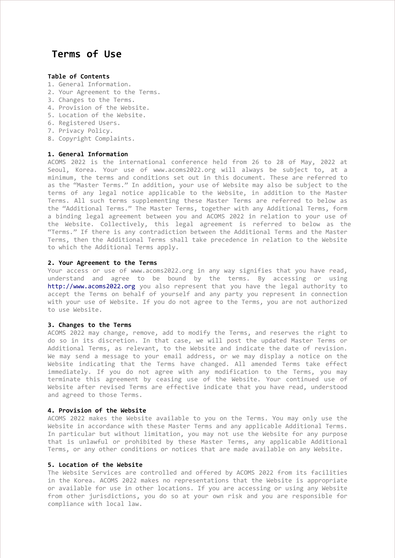# Terms of Use

# Table of Contents

- 1. General Information.
- 2. Your Agreement to the Terms.
- 3. Changes to the Terms.
- 4. Provision of the Website.
- 5. Location of the Website.
- 6. Registered Users.
- 7. Privacy Policy.
- 8. Copyright Complaints.

## 1. General Information

ACOMS 2022 is the international conference held from 26 to 28 of May, 2022 at Seoul, Korea. Your use of www.acoms2022.org will always be subject to, at a minimum, the terms and conditions set out in this document. These are referred to as the "Master Terms." In addition, your use of Website may also be subject to the terms of any legal notice applicable to the Website, in addition to the Master Terms. All such terms supplementing these Master Terms are referred to below as the "Additional Terms." The Master Terms, together with any Additional Terms, form a binding legal agreement between you and ACOMS 2022 in relation to your use of the Website. Collectively, this legal agreement is referred to below as the "Terms." If there is any contradiction between the Additional Terms and the Master Terms, then the Additional Terms shall take precedence in relation to the Website to which the Additional Terms apply.

# 2. Your Agreement to the Terms

Your access or use of www.acoms2022.org in any way signifies that you have read, understand and agree to be bound by the terms. By accessing or using http://www.acoms2022.org you also represent that you have the legal authority to accept the Terms on behalf of yourself and any party you represent in connection with your use of Website. If you do not agree to the Terms, you are not authorized to use Website.

## 3. Changes to the Terms

ACOMS 2022 may change, remove, add to modify the Terms, and reserves the right to do so in its discretion. In that case, we will post the updated Master Terms or Additional Terms, as relevant, to the Website and indicate the date of revision. We may send a message to your email address, or we may display a notice on the Website indicating that the Terms have changed. All amended Terms take effect immediately. If you do not agree with any modification to the Terms, you may terminate this agreement by ceasing use of the Website. Your continued use of Website after revised Terms are effective indicate that you have read, understood and agreed to those Terms.

#### 4. Provision of the Website

ACOMS 2022 makes the Website available to you on the Terms. You may only use the Website in accordance with these Master Terms and any applicable Additional Terms. In particular but without limitation, you may not use the Website for any purpose that is unlawful or prohibited by these Master Terms, any applicable Additional Terms, or any other conditions or notices that are made available on any Website.

## 5. Location of the Website

The Website Services are controlled and offered by ACOMS 2022 from its facilities in the Korea. ACOMS 2022 makes no representations that the Website is appropriate or available for use in other locations. If you are accessing or using any Website from other jurisdictions, you do so at your own risk and you are responsible for compliance with local law.